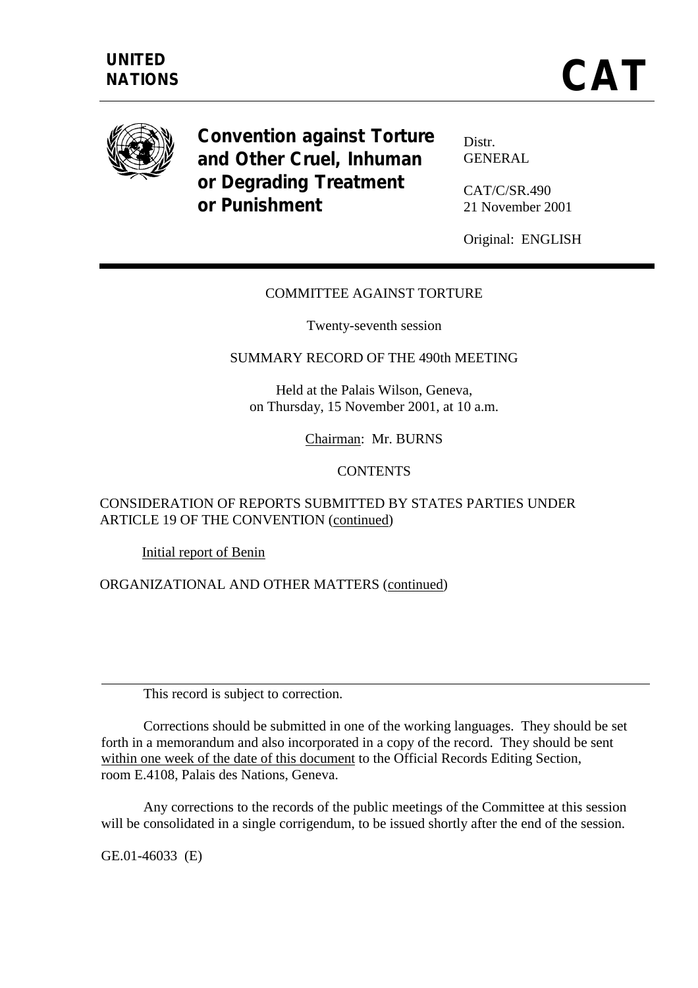

**Convention against Torture and Other Cruel, Inhuman or Degrading Treatment or Punishment** 

Distr. GENERAL

CAT/C/SR.490 21 November 2001

Original: ENGLISH

## COMMITTEE AGAINST TORTURE

Twenty-seventh session

## SUMMARY RECORD OF THE 490th MEETING

Held at the Palais Wilson, Geneva, on Thursday, 15 November 2001, at 10 a.m.

Chairman: Mr. BURNS

### **CONTENTS**

## CONSIDERATION OF REPORTS SUBMITTED BY STATES PARTIES UNDER ARTICLE 19 OF THE CONVENTION (continued)

Initial report of Benin

ORGANIZATIONAL AND OTHER MATTERS (continued)

This record is subject to correction.

 Corrections should be submitted in one of the working languages. They should be set forth in a memorandum and also incorporated in a copy of the record. They should be sent within one week of the date of this document to the Official Records Editing Section, room E.4108, Palais des Nations, Geneva.

 Any corrections to the records of the public meetings of the Committee at this session will be consolidated in a single corrigendum, to be issued shortly after the end of the session.

GE.01-46033 (E)

 $\overline{a}$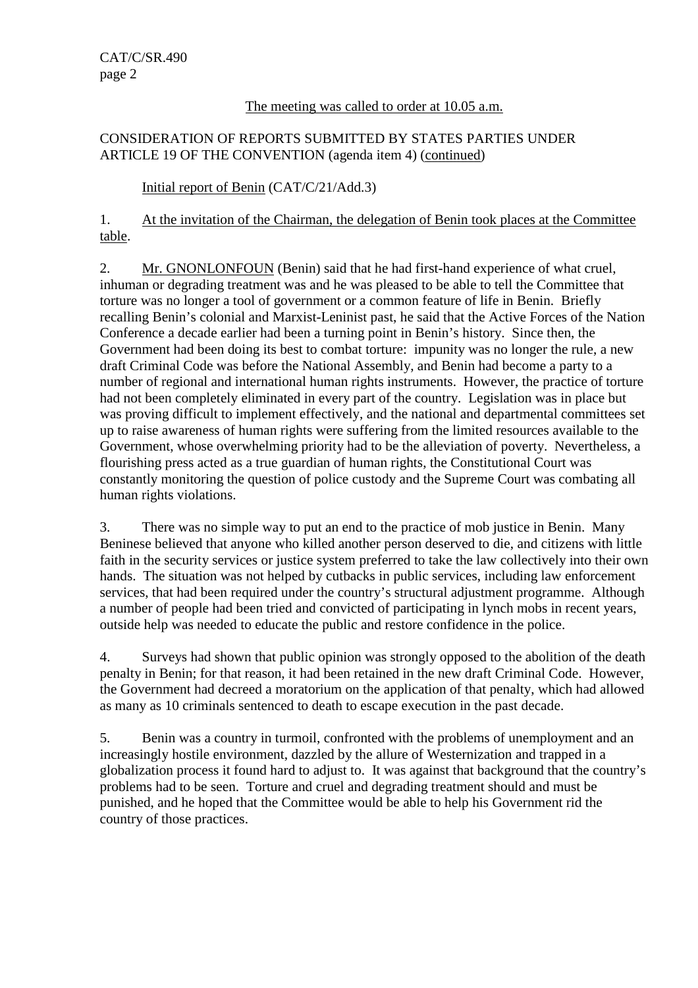# The meeting was called to order at 10.05 a.m.

# CONSIDERATION OF REPORTS SUBMITTED BY STATES PARTIES UNDER ARTICLE 19 OF THE CONVENTION (agenda item 4) (continued)

# Initial report of Benin (CAT/C/21/Add.3)

1. At the invitation of the Chairman, the delegation of Benin took places at the Committee table.

2. Mr. GNONLONFOUN (Benin) said that he had first-hand experience of what cruel, inhuman or degrading treatment was and he was pleased to be able to tell the Committee that torture was no longer a tool of government or a common feature of life in Benin. Briefly recalling Benin's colonial and Marxist-Leninist past, he said that the Active Forces of the Nation Conference a decade earlier had been a turning point in Benin's history. Since then, the Government had been doing its best to combat torture: impunity was no longer the rule, a new draft Criminal Code was before the National Assembly, and Benin had become a party to a number of regional and international human rights instruments. However, the practice of torture had not been completely eliminated in every part of the country. Legislation was in place but was proving difficult to implement effectively, and the national and departmental committees set up to raise awareness of human rights were suffering from the limited resources available to the Government, whose overwhelming priority had to be the alleviation of poverty. Nevertheless, a flourishing press acted as a true guardian of human rights, the Constitutional Court was constantly monitoring the question of police custody and the Supreme Court was combating all human rights violations.

3. There was no simple way to put an end to the practice of mob justice in Benin. Many Beninese believed that anyone who killed another person deserved to die, and citizens with little faith in the security services or justice system preferred to take the law collectively into their own hands. The situation was not helped by cutbacks in public services, including law enforcement services, that had been required under the country's structural adjustment programme. Although a number of people had been tried and convicted of participating in lynch mobs in recent years, outside help was needed to educate the public and restore confidence in the police.

4. Surveys had shown that public opinion was strongly opposed to the abolition of the death penalty in Benin; for that reason, it had been retained in the new draft Criminal Code. However, the Government had decreed a moratorium on the application of that penalty, which had allowed as many as 10 criminals sentenced to death to escape execution in the past decade.

5. Benin was a country in turmoil, confronted with the problems of unemployment and an increasingly hostile environment, dazzled by the allure of Westernization and trapped in a globalization process it found hard to adjust to. It was against that background that the country's problems had to be seen. Torture and cruel and degrading treatment should and must be punished, and he hoped that the Committee would be able to help his Government rid the country of those practices.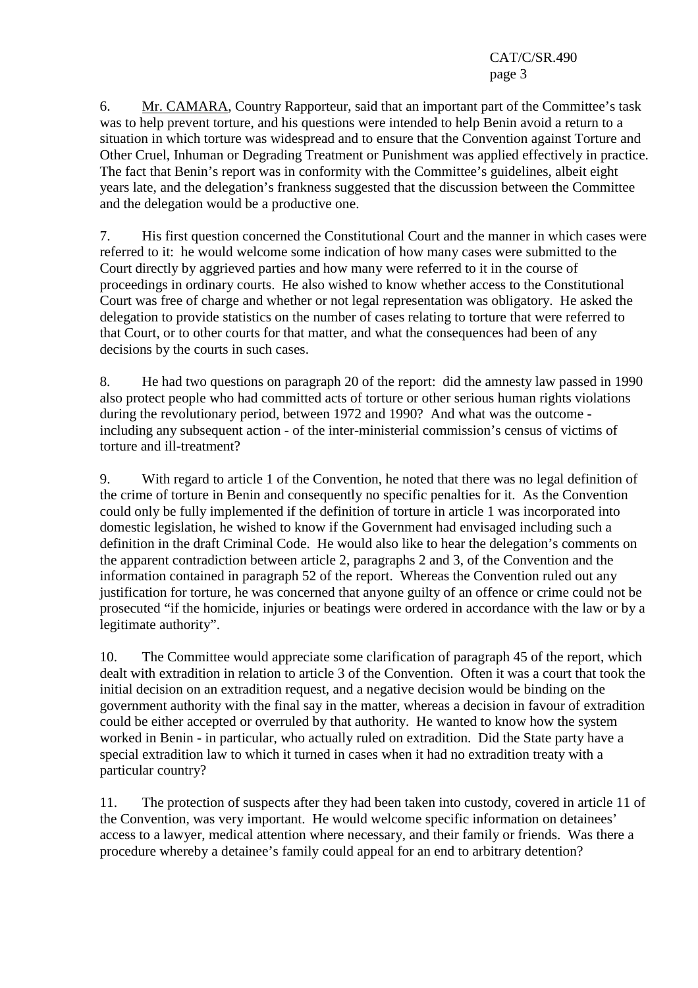6. Mr. CAMARA, Country Rapporteur, said that an important part of the Committee's task was to help prevent torture, and his questions were intended to help Benin avoid a return to a situation in which torture was widespread and to ensure that the Convention against Torture and Other Cruel, Inhuman or Degrading Treatment or Punishment was applied effectively in practice. The fact that Benin's report was in conformity with the Committee's guidelines, albeit eight years late, and the delegation's frankness suggested that the discussion between the Committee and the delegation would be a productive one.

7. His first question concerned the Constitutional Court and the manner in which cases were referred to it: he would welcome some indication of how many cases were submitted to the Court directly by aggrieved parties and how many were referred to it in the course of proceedings in ordinary courts. He also wished to know whether access to the Constitutional Court was free of charge and whether or not legal representation was obligatory. He asked the delegation to provide statistics on the number of cases relating to torture that were referred to that Court, or to other courts for that matter, and what the consequences had been of any decisions by the courts in such cases.

8. He had two questions on paragraph 20 of the report: did the amnesty law passed in 1990 also protect people who had committed acts of torture or other serious human rights violations during the revolutionary period, between 1972 and 1990? And what was the outcome including any subsequent action - of the inter-ministerial commission's census of victims of torture and ill-treatment?

9. With regard to article 1 of the Convention, he noted that there was no legal definition of the crime of torture in Benin and consequently no specific penalties for it. As the Convention could only be fully implemented if the definition of torture in article 1 was incorporated into domestic legislation, he wished to know if the Government had envisaged including such a definition in the draft Criminal Code. He would also like to hear the delegation's comments on the apparent contradiction between article 2, paragraphs 2 and 3, of the Convention and the information contained in paragraph 52 of the report. Whereas the Convention ruled out any justification for torture, he was concerned that anyone guilty of an offence or crime could not be prosecuted "if the homicide, injuries or beatings were ordered in accordance with the law or by a legitimate authority".

10. The Committee would appreciate some clarification of paragraph 45 of the report, which dealt with extradition in relation to article 3 of the Convention. Often it was a court that took the initial decision on an extradition request, and a negative decision would be binding on the government authority with the final say in the matter, whereas a decision in favour of extradition could be either accepted or overruled by that authority. He wanted to know how the system worked in Benin - in particular, who actually ruled on extradition. Did the State party have a special extradition law to which it turned in cases when it had no extradition treaty with a particular country?

11. The protection of suspects after they had been taken into custody, covered in article 11 of the Convention, was very important. He would welcome specific information on detainees' access to a lawyer, medical attention where necessary, and their family or friends. Was there a procedure whereby a detainee's family could appeal for an end to arbitrary detention?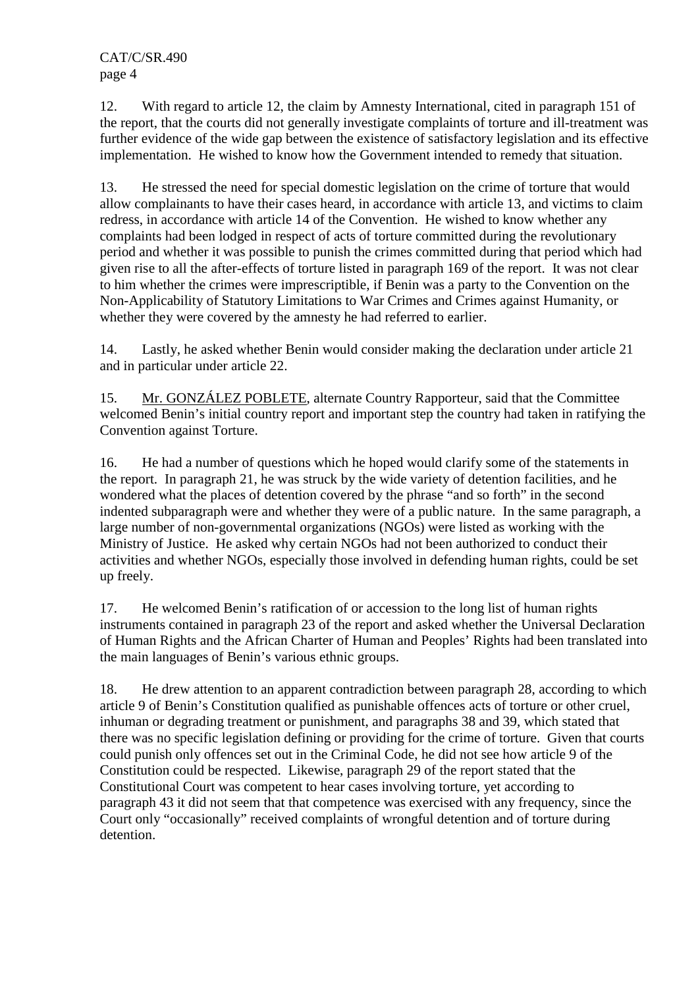12. With regard to article 12, the claim by Amnesty International, cited in paragraph 151 of the report, that the courts did not generally investigate complaints of torture and ill-treatment was further evidence of the wide gap between the existence of satisfactory legislation and its effective implementation. He wished to know how the Government intended to remedy that situation.

13. He stressed the need for special domestic legislation on the crime of torture that would allow complainants to have their cases heard, in accordance with article 13, and victims to claim redress, in accordance with article 14 of the Convention. He wished to know whether any complaints had been lodged in respect of acts of torture committed during the revolutionary period and whether it was possible to punish the crimes committed during that period which had given rise to all the after-effects of torture listed in paragraph 169 of the report. It was not clear to him whether the crimes were imprescriptible, if Benin was a party to the Convention on the Non-Applicability of Statutory Limitations to War Crimes and Crimes against Humanity, or whether they were covered by the amnesty he had referred to earlier.

14. Lastly, he asked whether Benin would consider making the declaration under article 21 and in particular under article 22.

15. Mr. GONZÁLEZ POBLETE, alternate Country Rapporteur, said that the Committee welcomed Benin's initial country report and important step the country had taken in ratifying the Convention against Torture.

16. He had a number of questions which he hoped would clarify some of the statements in the report. In paragraph 21, he was struck by the wide variety of detention facilities, and he wondered what the places of detention covered by the phrase "and so forth" in the second indented subparagraph were and whether they were of a public nature. In the same paragraph, a large number of non-governmental organizations (NGOs) were listed as working with the Ministry of Justice. He asked why certain NGOs had not been authorized to conduct their activities and whether NGOs, especially those involved in defending human rights, could be set up freely.

17. He welcomed Benin's ratification of or accession to the long list of human rights instruments contained in paragraph 23 of the report and asked whether the Universal Declaration of Human Rights and the African Charter of Human and Peoples' Rights had been translated into the main languages of Benin's various ethnic groups.

18. He drew attention to an apparent contradiction between paragraph 28, according to which article 9 of Benin's Constitution qualified as punishable offences acts of torture or other cruel, inhuman or degrading treatment or punishment, and paragraphs 38 and 39, which stated that there was no specific legislation defining or providing for the crime of torture. Given that courts could punish only offences set out in the Criminal Code, he did not see how article 9 of the Constitution could be respected. Likewise, paragraph 29 of the report stated that the Constitutional Court was competent to hear cases involving torture, yet according to paragraph 43 it did not seem that that competence was exercised with any frequency, since the Court only "occasionally" received complaints of wrongful detention and of torture during detention.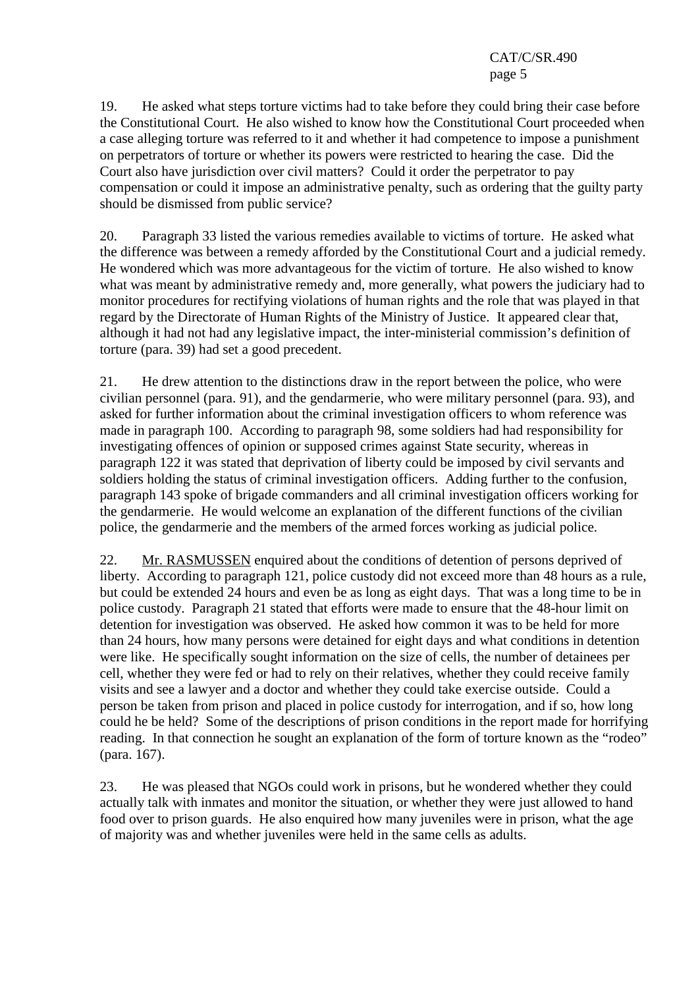19. He asked what steps torture victims had to take before they could bring their case before the Constitutional Court. He also wished to know how the Constitutional Court proceeded when a case alleging torture was referred to it and whether it had competence to impose a punishment on perpetrators of torture or whether its powers were restricted to hearing the case. Did the Court also have jurisdiction over civil matters? Could it order the perpetrator to pay compensation or could it impose an administrative penalty, such as ordering that the guilty party should be dismissed from public service?

20. Paragraph 33 listed the various remedies available to victims of torture. He asked what the difference was between a remedy afforded by the Constitutional Court and a judicial remedy. He wondered which was more advantageous for the victim of torture. He also wished to know what was meant by administrative remedy and, more generally, what powers the judiciary had to monitor procedures for rectifying violations of human rights and the role that was played in that regard by the Directorate of Human Rights of the Ministry of Justice. It appeared clear that, although it had not had any legislative impact, the inter-ministerial commission's definition of torture (para. 39) had set a good precedent.

21. He drew attention to the distinctions draw in the report between the police, who were civilian personnel (para. 91), and the gendarmerie, who were military personnel (para. 93), and asked for further information about the criminal investigation officers to whom reference was made in paragraph 100. According to paragraph 98, some soldiers had had responsibility for investigating offences of opinion or supposed crimes against State security, whereas in paragraph 122 it was stated that deprivation of liberty could be imposed by civil servants and soldiers holding the status of criminal investigation officers. Adding further to the confusion, paragraph 143 spoke of brigade commanders and all criminal investigation officers working for the gendarmerie. He would welcome an explanation of the different functions of the civilian police, the gendarmerie and the members of the armed forces working as judicial police.

22. Mr. RASMUSSEN enquired about the conditions of detention of persons deprived of liberty. According to paragraph 121, police custody did not exceed more than 48 hours as a rule, but could be extended 24 hours and even be as long as eight days. That was a long time to be in police custody. Paragraph 21 stated that efforts were made to ensure that the 48-hour limit on detention for investigation was observed. He asked how common it was to be held for more than 24 hours, how many persons were detained for eight days and what conditions in detention were like. He specifically sought information on the size of cells, the number of detainees per cell, whether they were fed or had to rely on their relatives, whether they could receive family visits and see a lawyer and a doctor and whether they could take exercise outside. Could a person be taken from prison and placed in police custody for interrogation, and if so, how long could he be held? Some of the descriptions of prison conditions in the report made for horrifying reading. In that connection he sought an explanation of the form of torture known as the "rodeo" (para. 167).

23. He was pleased that NGOs could work in prisons, but he wondered whether they could actually talk with inmates and monitor the situation, or whether they were just allowed to hand food over to prison guards. He also enquired how many juveniles were in prison, what the age of majority was and whether juveniles were held in the same cells as adults.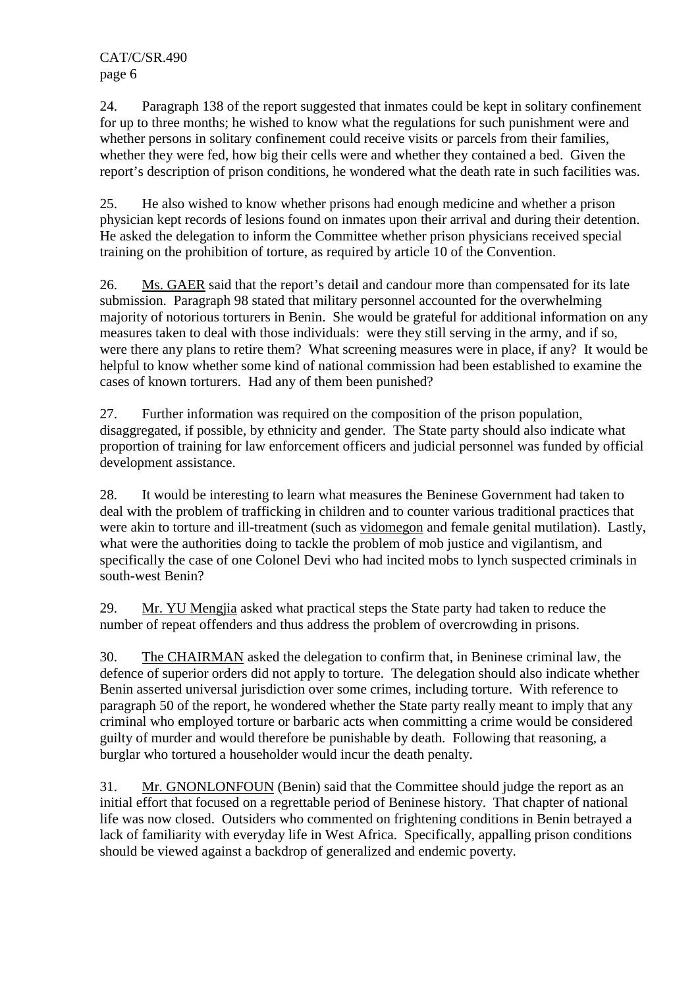24. Paragraph 138 of the report suggested that inmates could be kept in solitary confinement for up to three months; he wished to know what the regulations for such punishment were and whether persons in solitary confinement could receive visits or parcels from their families, whether they were fed, how big their cells were and whether they contained a bed. Given the report's description of prison conditions, he wondered what the death rate in such facilities was.

25. He also wished to know whether prisons had enough medicine and whether a prison physician kept records of lesions found on inmates upon their arrival and during their detention. He asked the delegation to inform the Committee whether prison physicians received special training on the prohibition of torture, as required by article 10 of the Convention.

26. Ms. GAER said that the report's detail and candour more than compensated for its late submission. Paragraph 98 stated that military personnel accounted for the overwhelming majority of notorious torturers in Benin. She would be grateful for additional information on any measures taken to deal with those individuals: were they still serving in the army, and if so, were there any plans to retire them? What screening measures were in place, if any? It would be helpful to know whether some kind of national commission had been established to examine the cases of known torturers. Had any of them been punished?

27. Further information was required on the composition of the prison population, disaggregated, if possible, by ethnicity and gender. The State party should also indicate what proportion of training for law enforcement officers and judicial personnel was funded by official development assistance.

28. It would be interesting to learn what measures the Beninese Government had taken to deal with the problem of trafficking in children and to counter various traditional practices that were akin to torture and ill-treatment (such as vidomegon and female genital mutilation). Lastly, what were the authorities doing to tackle the problem of mob justice and vigilantism, and specifically the case of one Colonel Devi who had incited mobs to lynch suspected criminals in south-west Benin?

29. Mr. YU Mengjia asked what practical steps the State party had taken to reduce the number of repeat offenders and thus address the problem of overcrowding in prisons.

30. The CHAIRMAN asked the delegation to confirm that, in Beninese criminal law, the defence of superior orders did not apply to torture. The delegation should also indicate whether Benin asserted universal jurisdiction over some crimes, including torture. With reference to paragraph 50 of the report, he wondered whether the State party really meant to imply that any criminal who employed torture or barbaric acts when committing a crime would be considered guilty of murder and would therefore be punishable by death. Following that reasoning, a burglar who tortured a householder would incur the death penalty.

31. Mr. GNONLONFOUN (Benin) said that the Committee should judge the report as an initial effort that focused on a regrettable period of Beninese history. That chapter of national life was now closed. Outsiders who commented on frightening conditions in Benin betrayed a lack of familiarity with everyday life in West Africa. Specifically, appalling prison conditions should be viewed against a backdrop of generalized and endemic poverty.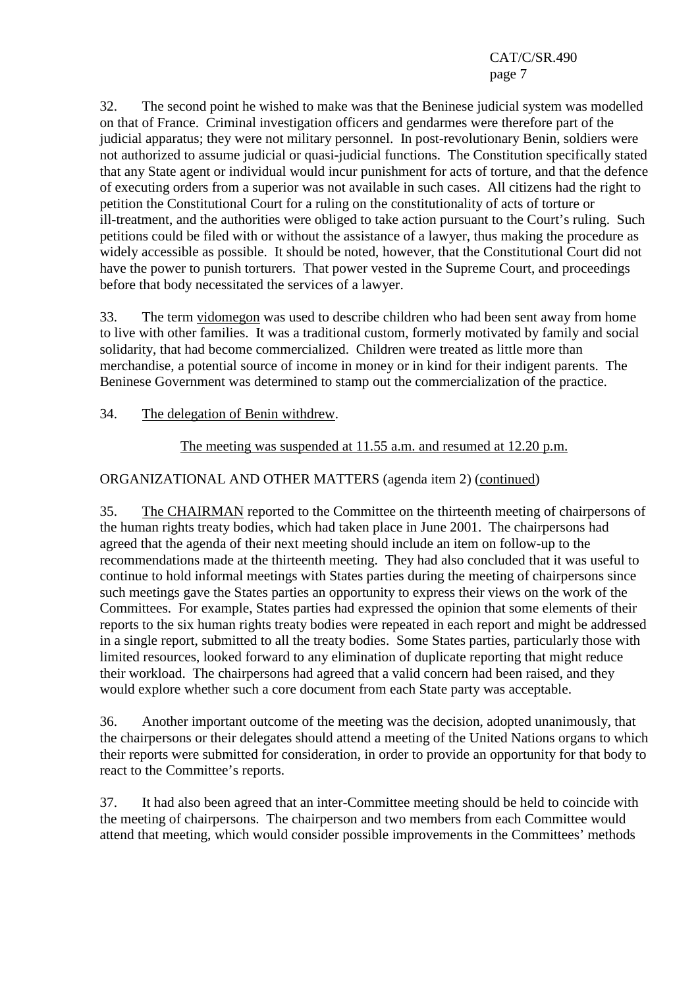32. The second point he wished to make was that the Beninese judicial system was modelled on that of France. Criminal investigation officers and gendarmes were therefore part of the judicial apparatus; they were not military personnel. In post-revolutionary Benin, soldiers were not authorized to assume judicial or quasi-judicial functions. The Constitution specifically stated that any State agent or individual would incur punishment for acts of torture, and that the defence of executing orders from a superior was not available in such cases. All citizens had the right to petition the Constitutional Court for a ruling on the constitutionality of acts of torture or ill-treatment, and the authorities were obliged to take action pursuant to the Court's ruling. Such petitions could be filed with or without the assistance of a lawyer, thus making the procedure as widely accessible as possible. It should be noted, however, that the Constitutional Court did not have the power to punish torturers. That power vested in the Supreme Court, and proceedings before that body necessitated the services of a lawyer.

33. The term vidomegon was used to describe children who had been sent away from home to live with other families. It was a traditional custom, formerly motivated by family and social solidarity, that had become commercialized. Children were treated as little more than merchandise, a potential source of income in money or in kind for their indigent parents. The Beninese Government was determined to stamp out the commercialization of the practice.

34. The delegation of Benin withdrew.

The meeting was suspended at 11.55 a.m. and resumed at 12.20 p.m.

ORGANIZATIONAL AND OTHER MATTERS (agenda item 2) (continued)

35. The CHAIRMAN reported to the Committee on the thirteenth meeting of chairpersons of the human rights treaty bodies, which had taken place in June 2001. The chairpersons had agreed that the agenda of their next meeting should include an item on follow-up to the recommendations made at the thirteenth meeting. They had also concluded that it was useful to continue to hold informal meetings with States parties during the meeting of chairpersons since such meetings gave the States parties an opportunity to express their views on the work of the Committees. For example, States parties had expressed the opinion that some elements of their reports to the six human rights treaty bodies were repeated in each report and might be addressed in a single report, submitted to all the treaty bodies. Some States parties, particularly those with limited resources, looked forward to any elimination of duplicate reporting that might reduce their workload. The chairpersons had agreed that a valid concern had been raised, and they would explore whether such a core document from each State party was acceptable.

36. Another important outcome of the meeting was the decision, adopted unanimously, that the chairpersons or their delegates should attend a meeting of the United Nations organs to which their reports were submitted for consideration, in order to provide an opportunity for that body to react to the Committee's reports.

37. It had also been agreed that an inter-Committee meeting should be held to coincide with the meeting of chairpersons. The chairperson and two members from each Committee would attend that meeting, which would consider possible improvements in the Committees' methods